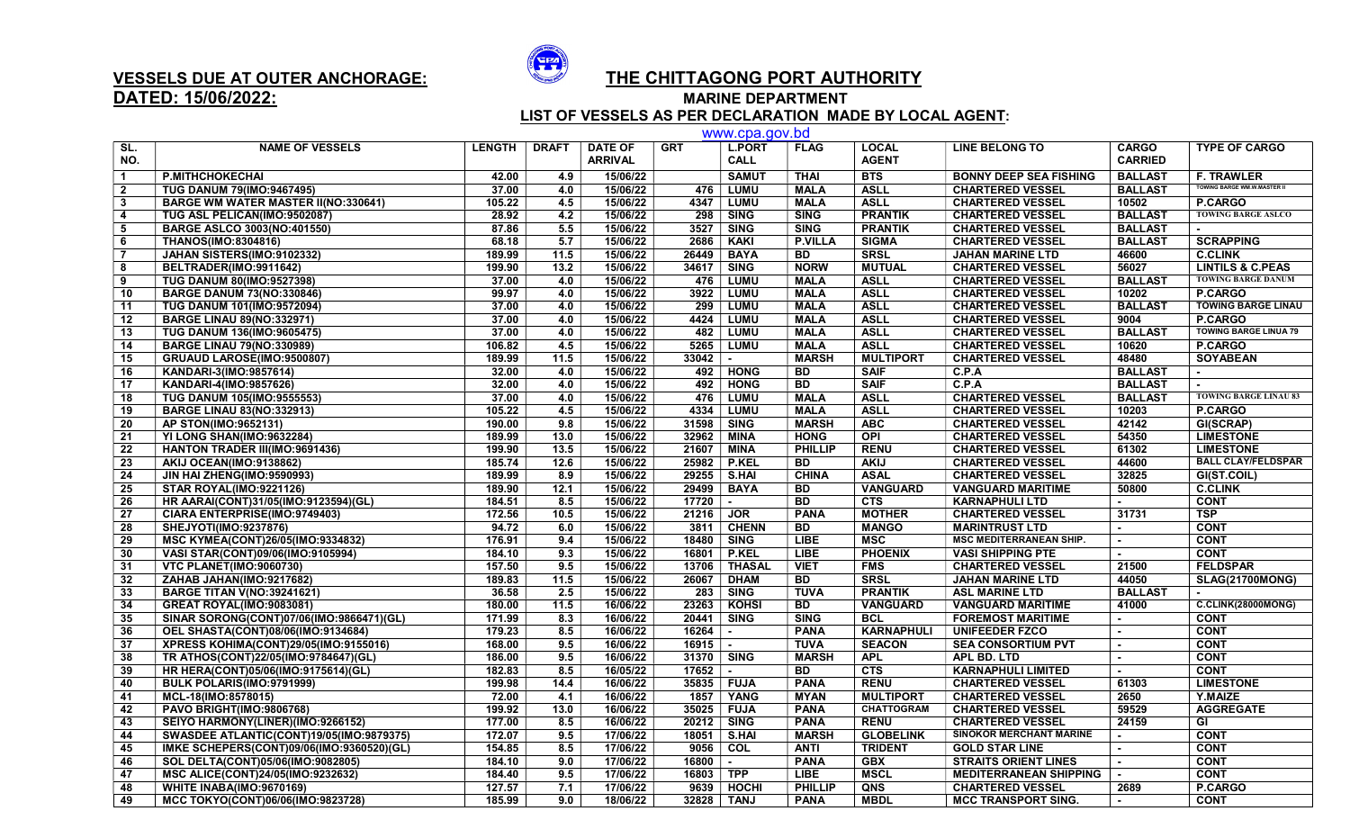

## DATED: 15/06/2022: MARINE DEPARTMENT

## VESSELS DUE AT OUTER ANCHORAGE:  $\overbrace{ }^{s_{\mathbf{P}}\hspace{-1.2cm} \cdot \cdot \cdot }^{s_{\mathbf{P}}\hspace{-1.2cm} \cdot \cdot \cdot }$  THE CHITTAGONG PORT AUTHORITY

LIST OF VESSELS AS PER DECLARATION MADE BY LOCAL AGENT:

|                | www.cpa.gov.bd                                  |               |              |                                  |            |                              |                 |                              |                                |                                |                                    |
|----------------|-------------------------------------------------|---------------|--------------|----------------------------------|------------|------------------------------|-----------------|------------------------------|--------------------------------|--------------------------------|------------------------------------|
| SL.<br>NO.     | <b>NAME OF VESSELS</b>                          | <b>LENGTH</b> | <b>DRAFT</b> | <b>DATE OF</b><br><b>ARRIVAL</b> | <b>GRT</b> | <b>L.PORT</b><br><b>CALL</b> | <b>FLAG</b>     | <b>LOCAL</b><br><b>AGENT</b> | <b>LINE BELONG TO</b>          | <b>CARGO</b><br><b>CARRIED</b> | <b>TYPE OF CARGO</b>               |
| $\overline{1}$ | <b>P.MITHCHOKECHAI</b>                          | 42.00         | 4.9          | 15/06/22                         |            | <b>SAMUT</b>                 | <b>THAI</b>     | <b>BTS</b>                   | <b>BONNY DEEP SEA FISHING</b>  | <b>BALLAST</b>                 | <b>F. TRAWLER</b>                  |
| $\overline{2}$ | <b>TUG DANUM 79(IMO:9467495)</b>                | 37.00         | 4.0          | 15/06/22                         | 476        | <b>LUMU</b>                  | <b>MALA</b>     | <b>ASLL</b>                  | <b>CHARTERED VESSEL</b>        | <b>BALLAST</b>                 | <b>TOWING BARGE WM.W.MASTER II</b> |
| $\mathbf{3}$   | <b>BARGE WM WATER MASTER II(NO:330641)</b>      | 105.22        | 4.5          | 15/06/22                         | 4347       | <b>LUMU</b>                  | <b>MALA</b>     | <b>ASLL</b>                  | <b>CHARTERED VESSEL</b>        | 10502                          | P.CARGO                            |
| $\overline{4}$ | TUG ASL PELICAN(IMO:9502087)                    | 28.92         | 4.2          | 15/06/22                         | 298        | <b>SING</b>                  | <b>SING</b>     | <b>PRANTIK</b>               | <b>CHARTERED VESSEL</b>        | <b>BALLAST</b>                 | <b>TOWING BARGE ASLCO</b>          |
| -5             | <b>BARGE ASLCO 3003(NO:401550)</b>              | 87.86         | 5.5          | 15/06/22                         | 3527       | <b>SING</b>                  | <b>SING</b>     | <b>PRANTIK</b>               | <b>CHARTERED VESSEL</b>        | <b>BALLAST</b>                 |                                    |
| 6              | THANOS(IMO:8304816)                             | 68.18         | 5.7          | 15/06/22                         | 2686       | <b>KAKI</b>                  | <b>P.VILLA</b>  | <b>SIGMA</b>                 | <b>CHARTERED VESSEL</b>        | <b>BALLAST</b>                 | <b>SCRAPPING</b>                   |
| $\overline{7}$ | JAHAN SISTERS(IMO:9102332)                      | 189.99        | 11.5         | 15/06/22                         | 26449      | <b>BAYA</b>                  | <b>BD</b>       | <b>SRSL</b>                  | <b>JAHAN MARINE LTD</b>        | 46600                          | <b>C.CLINK</b>                     |
| 8              | BELTRADER(IMO:9911642)                          | 199.90        | 13.2         | 15/06/22                         | 34617      | <b>SING</b>                  | <b>NORW</b>     | <b>MUTUAL</b>                | <b>CHARTERED VESSEL</b>        | 56027                          | <b>LINTILS &amp; C.PEAS</b>        |
| 9              | <b>TUG DANUM 80(IMO:9527398)</b>                | 37.00         | 4.0          | 15/06/22                         | 476        | <b>LUMU</b>                  | <b>MALA</b>     | <b>ASLL</b>                  | <b>CHARTERED VESSEL</b>        | <b>BALLAST</b>                 | <b>TOWING BARGE DANUM</b>          |
| 10             | <b>BARGE DANUM 73(NO:330846)</b>                | 99.97         | 4.0          | 15/06/22                         | 3922       | <b>LUMU</b>                  | <b>MALA</b>     | <b>ASLL</b>                  | <b>CHARTERED VESSEL</b>        | 10202                          | <b>P.CARGO</b>                     |
| 11             | TUG DANUM 101(IMO:9572094)                      | 37.00         | 4.0          | 15/06/22                         | 299        | <b>LUMU</b>                  | <b>MALA</b>     | <b>ASLL</b>                  | <b>CHARTERED VESSEL</b>        | <b>BALLAST</b>                 | <b>TOWING BARGE LINAU</b>          |
| 12             | <b>BARGE LINAU 89(NO:332971)</b>                | 37.00         | 4.0          | 15/06/22                         | 4424       | <b>LUMU</b>                  | <b>MALA</b>     | <b>ASLL</b>                  | <b>CHARTERED VESSEL</b>        | 9004                           | <b>P.CARGO</b>                     |
| 13             | <b>TUG DANUM 136(IMO:9605475)</b>               | 37.00         | 4.0          | 15/06/22                         | 482        | <b>LUMU</b>                  | <b>MALA</b>     | <b>ASLL</b>                  | <b>CHARTERED VESSEL</b>        | <b>BALLAST</b>                 | <b>TOWING BARGE LINUA 79</b>       |
| 14             | <b>BARGE LINAU 79(NO:330989)</b>                | 106.82        | 4.5          | 15/06/22                         | 5265       | LUMU                         | <b>MALA</b>     | <b>ASLL</b>                  | <b>CHARTERED VESSEL</b>        | 10620                          | <b>P.CARGO</b>                     |
| 15             | GRUAUD LAROSE(IMO:9500807)                      | 189.99        | 11.5         | 15/06/22                         | 33042      |                              | <b>MARSH</b>    | <b>MULTIPORT</b>             | <b>CHARTERED VESSEL</b>        | 48480                          | <b>SOYABEAN</b>                    |
| 16             | KANDARI-3(IMO:9857614)                          | 32.00         | 4.0          | 15/06/22                         | 492        | <b>HONG</b>                  | <b>BD</b>       | <b>SAIF</b>                  | C.P.A                          | <b>BALLAST</b>                 |                                    |
| 17             | KANDARI-4(IMO:9857626)                          | 32.00         | 4.0          | 15/06/22                         | 492        | <b>HONG</b>                  | $\overline{BD}$ | <b>SAIF</b>                  | C.P.A                          | <b>BALLAST</b>                 | $\sim$                             |
| 18             | <b>TUG DANUM 105(IMO:9555553)</b>               | 37.00         | 4.0          | 15/06/22                         | 476        | <b>LUMU</b>                  | <b>MALA</b>     | <b>ASLL</b>                  | <b>CHARTERED VESSEL</b>        | <b>BALLAST</b>                 | <b>TOWING BARGE LINAU 83</b>       |
| 19             | <b>BARGE LINAU 83(NO:332913)</b>                | 105.22        | 4.5          | 15/06/22                         | 4334       | <b>LUMU</b>                  | <b>MALA</b>     | <b>ASLL</b>                  | <b>CHARTERED VESSEL</b>        | 10203                          | <b>P.CARGO</b>                     |
| 20             | AP STON(IMO:9652131)                            | 190.00        | 9.8          | 15/06/22                         | 31598      | <b>SING</b>                  | <b>MARSH</b>    | <b>ABC</b>                   | <b>CHARTERED VESSEL</b>        | 42142                          | GI(SCRAP)                          |
| 21             | YI LONG SHAN(IMO:9632284)                       | 189.99        | 13.0         | 15/06/22                         | 32962      | <b>MINA</b>                  | <b>HONG</b>     | <b>OPI</b>                   | <b>CHARTERED VESSEL</b>        | 54350                          | <b>LIMESTONE</b>                   |
| 22             | <b>HANTON TRADER III(IMO:9691436)</b>           | 199.90        | 13.5         | 15/06/22                         | 21607      | <b>MINA</b>                  | <b>PHILLIP</b>  | <b>RENU</b>                  | <b>CHARTERED VESSEL</b>        | 61302                          | <b>LIMESTONE</b>                   |
| 23             | <b>AKIJ OCEAN(IMO:9138862)</b>                  | 185.74        | 12.6         | 15/06/22                         | 25982      | <b>P.KEL</b>                 | <b>BD</b>       | <b>AKIJ</b>                  | <b>CHARTERED VESSEL</b>        | 44600                          | <b>BALL CLAY/FELDSPAR</b>          |
| 24             | JIN HAI ZHENG(IMO:9590993)                      | 189.99        | 8.9          | 15/06/22                         | 29255      | S.HAI                        | <b>CHINA</b>    | <b>ASAL</b>                  | <b>CHARTERED VESSEL</b>        | 32825                          | GI(ST.COIL)                        |
| 25             | <b>STAR ROYAL(IMO:9221126)</b>                  | 189.90        | 12.1         | 15/06/22                         | 29499      | <b>BAYA</b>                  | <b>BD</b>       | <b>VANGUARD</b>              | <b>VANGUARD MARITIME</b>       | 50800                          | <b>C.CLINK</b>                     |
| 26             | HR AARAI(CONT)31/05(IMO:9123594)(GL)            | 184.51        | 8.5          | 15/06/22                         | 17720      |                              | <b>BD</b>       | <b>CTS</b>                   | <b>KARNAPHULI LTD</b>          |                                | <b>CONT</b>                        |
| 27             | CIARA ENTERPRISE(IMO:9749403)                   | 172.56        | 10.5         | 15/06/22                         | 21216      | <b>JOR</b>                   | <b>PANA</b>     | <b>MOTHER</b>                | <b>CHARTERED VESSEL</b>        | 31731                          | <b>TSP</b>                         |
| 28             | SHEJYOTI(IMO:9237876)                           | 94.72         | 6.0          | 15/06/22                         | 3811       | <b>CHENN</b>                 | <b>BD</b>       | <b>MANGO</b>                 | <b>MARINTRUST LTD</b>          |                                | <b>CONT</b>                        |
| 29             | MSC KYMEA(CONT)26/05(IMO:9334832)               | 176.91        | 9.4          | 15/06/22                         | 18480      | <b>SING</b>                  | <b>LIBE</b>     | <b>MSC</b>                   | <b>MSC MEDITERRANEAN SHIP.</b> |                                | <b>CONT</b>                        |
| 30             | VASI STAR(CONT)09/06(IMO:9105994)               | 184.10        | 9.3          | 15/06/22                         | 16801      | P.KEL                        | <b>LIBE</b>     | <b>PHOENIX</b>               | <b>VASI SHIPPING PTE</b>       | $\sim$                         | <b>CONT</b>                        |
| 31             | <b>VTC PLANET(IMO:9060730)</b>                  | 157.50        | 9.5          | 15/06/22                         | 13706      | <b>THASAL</b>                | <b>VIET</b>     | <b>FMS</b>                   | <b>CHARTERED VESSEL</b>        | 21500                          | <b>FELDSPAR</b>                    |
| 32             | ZAHAB JAHAN(IMO:9217682)                        | 189.83        | 11.5         | 15/06/22                         | 26067      | <b>DHAM</b>                  | <b>BD</b>       | <b>SRSL</b>                  | <b>JAHAN MARINE LTD</b>        | 44050                          | <b>SLAG(21700MONG)</b>             |
| 33             | <b>BARGE TITAN V(NO:39241621)</b>               | 36.58         | 2.5          | 15/06/22                         | 283        | <b>SING</b>                  | <b>TUVA</b>     | <b>PRANTIK</b>               | <b>ASL MARINE LTD</b>          | <b>BALLAST</b>                 |                                    |
| 34             | <b>GREAT ROYAL(IMO:9083081)</b>                 | 180.00        | 11.5         | 16/06/22                         | 23263      | <b>KOHSI</b>                 | <b>BD</b>       | <b>VANGUARD</b>              | <b>VANGUARD MARITIME</b>       | 41000                          | <b>C.CLINK(28000MONG)</b>          |
| 35             | SINAR SORONG(CONT)07/06(IMO:9866471)(GL)        | 171.99        | 8.3          | 16/06/22                         | 20441      | <b>SING</b>                  | <b>SING</b>     | <b>BCL</b>                   | <b>FOREMOST MARITIME</b>       | $\sim$                         | <b>CONT</b>                        |
| 36             | <b>OEL SHASTA(CONT)08/06(IMO:9134684)</b>       | 179.23        | 8.5          | 16/06/22                         | 16264      |                              | <b>PANA</b>     | <b>KARNAPHULI</b>            | <b>UNIFEEDER FZCO</b>          |                                | <b>CONT</b>                        |
| 37             | XPRESS KOHIMA(CONT)29/05(IMO:9155016)           | 168.00        | 9.5          | 16/06/22                         | 16915      | $\sim$                       | <b>TUVA</b>     | <b>SEACON</b>                | <b>SEA CONSORTIUM PVT</b>      | $\mathbf{r}$                   | <b>CONT</b>                        |
| 38             | TR ATHOS(CONT)22/05(IMO:9784647)(GL)            | 186.00        | 9.5          | 16/06/22                         | 31370      | <b>SING</b>                  | <b>MARSH</b>    | <b>APL</b>                   | <b>APL BD. LTD</b>             |                                | <b>CONT</b>                        |
| 39             | HR HERA(CONT)05/06(IMO:9175614)(GL)             | 182.83        | 8.5          | 16/05/22                         | 17652      | $\sim$                       | <b>BD</b>       | CTS                          | <b>KARNAPHULI LIMITED</b>      |                                | <b>CONT</b>                        |
| 40             | BULK POLARIS(IMO:9791999)                       | 199.98        | 14.4         | 16/06/22                         | 35835      | <b>FUJA</b>                  | <b>PANA</b>     | <b>RENU</b>                  | <b>CHARTERED VESSEL</b>        | 61303                          | <b>LIMESTONE</b>                   |
| 41             | MCL-18(IMO:8578015)                             | 72.00         | 4.1          | 16/06/22                         | 1857       | YANG                         | <b>MYAN</b>     | <b>MULTIPORT</b>             | <b>CHARTERED VESSEL</b>        | 2650                           | <b>Y.MAIZE</b>                     |
| 42             | <b>PAVO BRIGHT(IMO:9806768)</b>                 | 199.92        | 13.0         | 16/06/22                         | 35025      | <b>FUJA</b>                  | <b>PANA</b>     | <b>CHATTOGRAM</b>            | <b>CHARTERED VESSEL</b>        | 59529                          | <b>AGGREGATE</b>                   |
| 43             | SEIYO HARMONY(LINER)(IMO:9266152)               | 177.00        | 8.5          | 16/06/22                         | 20212      | <b>SING</b>                  | <b>PANA</b>     | <b>RENU</b>                  | <b>CHARTERED VESSEL</b>        | 24159                          | GI                                 |
| 44             | <b>SWASDEE ATLANTIC(CONT)19/05(IMO:9879375)</b> | 172.07        | 9.5          | 17/06/22                         | 18051      | S.HAI                        | <b>MARSH</b>    | <b>GLOBELINK</b>             | <b>SINOKOR MERCHANT MARINE</b> | $\mathbf{r}$                   | <b>CONT</b>                        |
| 45             | IMKE SCHEPERS(CONT)09/06(IMO:9360520)(GL)       | 154.85        | 8.5          | 17/06/22                         | 9056       | COL                          | <b>ANTI</b>     | <b>TRIDENT</b>               | <b>GOLD STAR LINE</b>          | $\sim$                         | <b>CONT</b>                        |
| 46             | SOL DELTA(CONT)05/06(IMO:9082805)               | 184.10        | 9.0          | 17/06/22                         | 16800      | $\sim$                       | <b>PANA</b>     | <b>GBX</b>                   | <b>STRAITS ORIENT LINES</b>    |                                | <b>CONT</b>                        |
| 47             | MSC ALICE(CONT)24/05(IMO:9232632)               | 184.40        | 9.5          | 17/06/22                         | 16803      | <b>TPP</b>                   | <b>LIBE</b>     | <b>MSCL</b>                  | <b>MEDITERRANEAN SHIPPING</b>  |                                | <b>CONT</b>                        |
| 48             | <b>WHITE INABA(IMO:9670169)</b>                 | 127.57        | 7.1          | 17/06/22                         | 9639       | <b>HOCHI</b>                 | <b>PHILLIP</b>  | QNS                          | <b>CHARTERED VESSEL</b>        | 2689                           | P.CARGO                            |
| 49             | MCC TOKYO(CONT)06/06(IMO:9823728)               | 185.99        | 9.0          | 18/06/22                         | 32828      | <b>TANJ</b>                  | <b>PANA</b>     | <b>MBDL</b>                  | <b>MCC TRANSPORT SING.</b>     | $\sim$                         | <b>CONT</b>                        |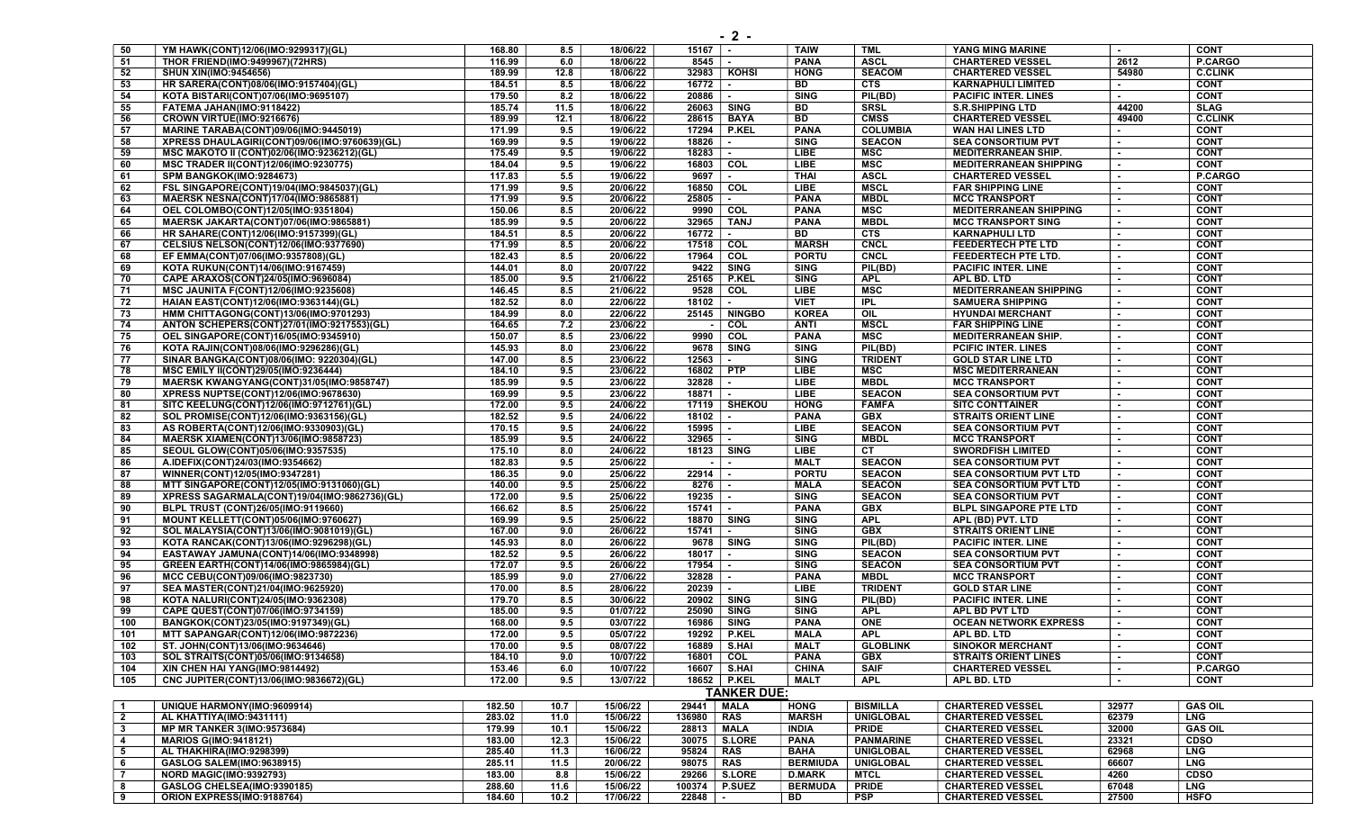| 50             | YM HAWK(CONT)12/06(IMO:9299317)(GL)           | 168.80 | 8.5  | 18/06/22 | $15167$ .       |                    | <b>TAIW</b>   | <b>TML</b>       | YANG MING MARINE              | $\blacksquare$ | <b>CONT</b>    |
|----------------|-----------------------------------------------|--------|------|----------|-----------------|--------------------|---------------|------------------|-------------------------------|----------------|----------------|
| 51             | THOR FRIEND(IMO:9499967)(72HRS)               | 116.99 | 6.0  | 18/06/22 | 8545            | $\sim$             | <b>PANA</b>   | <b>ASCL</b>      | <b>CHARTERED VESSEL</b>       | 2612           | P.CARGO        |
| 52             | <b>SHUN XIN(IMO:9454656)</b>                  | 189.99 | 12.8 | 18/06/22 |                 | 32983   KOHSI      | <b>HONG</b>   | <b>SEACOM</b>    | <b>CHARTERED VESSEL</b>       | 54980          | <b>C.CLINK</b> |
| 53             | HR SARERA(CONT)08/06(IMO:9157404)(GL)         | 184.51 | 8.5  | 18/06/22 | 16772           | $\sim$             | BD            | <b>CTS</b>       | <b>KARNAPHULI LIMITED</b>     | $\sim$         | <b>CONT</b>    |
| 54             | KOTA BISTARI(CONT)07/06(IMO:9695107)          | 179.50 | 8.2  | 18/06/22 | 20886           | $\sim$             | <b>SING</b>   | PIL(BD)          | <b>PACIFIC INTER. LINES</b>   | $\sim$         | <b>CONT</b>    |
| 55             | FATEMA JAHAN(IMO:9118422)                     | 185.74 | 11.5 | 18/06/22 | 26063 SING      |                    | BD            | <b>SRSL</b>      | <b>S.R.SHIPPING LTD</b>       | 44200          | <b>SLAG</b>    |
| 56             | CROWN VIRTUE(IMO:9216676)                     | 189.99 | 12.1 | 18/06/22 | 28615           | <b>BAYA</b>        | <b>BD</b>     | <b>CMSS</b>      | <b>CHARTERED VESSEL</b>       | 49400          | <b>C.CLINK</b> |
|                |                                               |        |      |          |                 |                    |               |                  |                               |                |                |
| 57             | MARINE TARABA(CONT)09/06(IMO:9445019)         | 171.99 | 9.5  | 19/06/22 | 17294           | <b>P.KEL</b>       | <b>PANA</b>   | <b>COLUMBIA</b>  | WAN HAI LINES LTD             | ÷.             | <b>CONT</b>    |
| 58             | XPRESS DHAULAGIRI(CONT)09/06(IMO:9760639)(GL) | 169.99 | 9.5  | 19/06/22 | 18826           |                    | <b>SING</b>   | <b>SEACON</b>    | <b>SEA CONSORTIUM PVT</b>     |                | <b>CONT</b>    |
| 59             | MSC MAKOTO II (CONT)02/06(IMO:9236212)(GL)    | 175.49 | 9.5  | 19/06/22 | 18283           | $\sim$             | LIBE          | MSC              | <b>MEDITERRANEAN SHIP.</b>    | $\sim$         | <b>CONT</b>    |
| 60             | <b>MSC TRADER II(CONT)12/06(IMO:9230775)</b>  | 184.04 | 9.5  | 19/06/22 | 16803 COL       |                    | LIBE          | <b>MSC</b>       | <b>MEDITERRANEAN SHIPPING</b> | $\sim$         | <b>CONT</b>    |
| 61             | <b>SPM BANGKOK(IMO:9284673)</b>               | 117.83 | 5.5  | 19/06/22 | 9697            | $\sim$             | <b>THAI</b>   | <b>ASCL</b>      | <b>CHARTERED VESSEL</b>       |                | <b>P.CARGO</b> |
| 62             | FSL SINGAPORE(CONT)19/04(IMO:9845037)(GL)     | 171.99 | 9.5  | 20/06/22 | 16850 COL       |                    | LIBE          | <b>MSCL</b>      | <b>FAR SHIPPING LINE</b>      |                | <b>CONT</b>    |
| 63             | MAERSK NESNA(CONT)17/04(IMO:9865881)          | 171.99 | 9.5  | 20/06/22 | 25805           |                    | <b>PANA</b>   | <b>MBDL</b>      | <b>MCC TRANSPORT</b>          |                | <b>CONT</b>    |
| 64             | OEL COLOMBO(CONT)12/05(IMO:9351804)           | 150.06 | 8.5  | 20/06/22 | 9990            | COL                | <b>PANA</b>   | MSC              | <b>MEDITERRANEAN SHIPPING</b> |                | <b>CONT</b>    |
| 65             | MAERSK JAKARTA(CONT)07/06(IMO:9865881)        | 185.99 | 9.5  | 20/06/22 | 32965           | <b>TANJ</b>        | <b>PANA</b>   | <b>MBDL</b>      | <b>MCC TRANSPORT SING</b>     |                | <b>CONT</b>    |
| 66             | HR SAHARE(CONT)12/06(IMO:9157399)(GL)         | 184.51 | 8.5  | 20/06/22 | 16772           | $\sim$             | BD            | <b>CTS</b>       | <b>KARNAPHULI LTD</b>         | $\sim$         | <b>CONT</b>    |
|                |                                               |        |      |          |                 |                    |               |                  |                               | $\sim$         |                |
| 67             | CELSIUS NELSON(CONT)12/06(IMO:9377690)        | 171.99 | 8.5  | 20/06/22 | 17518           | COL                | <b>MARSH</b>  | <b>CNCL</b>      | <b>FEEDERTECH PTE LTD</b>     |                | <b>CONT</b>    |
| 68             | EF EMMA(CONT)07/06(IMO:9357808)(GL)           | 182.43 | 8.5  | 20/06/22 | 17964           | COL                | <b>PORTU</b>  | <b>CNCL</b>      | FEEDERTECH PTE LTD.           |                | <b>CONT</b>    |
| 69             | KOTA RUKUN(CONT)14/06(IMO:9167459)            | 144.01 | 8.0  | 20/07/22 | 9422            | <b>SING</b>        | <b>SING</b>   | PIL(BD)          | <b>PACIFIC INTER. LINE</b>    |                | <b>CONT</b>    |
| 70             | CAPE ARAXOS(CONT)24/05(IMO:9696084)           | 185.00 | 9.5  | 21/06/22 | 25165           | <b>P.KEL</b>       | <b>SING</b>   | <b>APL</b>       | APL BD. LTD                   |                | <b>CONT</b>    |
| 71             | <b>MSC JAUNITA F(CONT)12/06(IMO:9235608)</b>  | 146.45 | 8.5  | 21/06/22 | 9528            | COL                | LIBE          | <b>MSC</b>       | <b>MEDITERRANEAN SHIPPING</b> | $\sim$         | <b>CONT</b>    |
| 72             | HAIAN EAST(CONT)12/06(IMO:9363144)(GL)        | 182.52 | 8.0  | 22/06/22 | 18102           | $\sim$             | <b>VIET</b>   | <b>IPL</b>       | <b>SAMUERA SHIPPING</b>       |                | <b>CONT</b>    |
| 73             | HMM CHITTAGONG(CONT)13/06(IMO:9701293)        | 184.99 | 8.0  | 22/06/22 | 25145           | <b>NINGBO</b>      | <b>KOREA</b>  | OIL              | <b>HYUNDAI MERCHANT</b>       | $\sim$         | <b>CONT</b>    |
| 74             | ANTON SCHEPERS(CONT)27/01(IMO:9217553)(GL)    | 164.65 | 7.2  | 23/06/22 | $\sim$          | COL                | <b>ANTI</b>   | <b>MSCL</b>      | <b>FAR SHIPPING LINE</b>      | $\sim$         | <b>CONT</b>    |
| 75             | OEL SINGAPORE(CONT)16/05(IMO:9345910)         | 150.07 | 8.5  | 23/06/22 | 9990            | COL                | <b>PANA</b>   | MSC              | <b>MEDITERRANEAN SHIP.</b>    |                | <b>CONT</b>    |
| 76             | KOTA RAJIN(CONT)08/06(IMO:9296286)(GL)        | 145.93 | 8.0  | 23/06/22 | 9678            | <b>SING</b>        | <b>SING</b>   | PIL(BD)          | <b>PCIFIC INTER. LINES</b>    | $\sim$         | <b>CONT</b>    |
|                |                                               |        |      |          |                 |                    |               |                  |                               |                |                |
| 77             | SINAR BANGKA(CONT)08/06(IMO: 9220304)(GL)     | 147.00 | 8.5  | 23/06/22 | 12563           | $\sim$             | <b>SING</b>   | <b>TRIDENT</b>   | <b>GOLD STAR LINE LTD</b>     |                | <b>CONT</b>    |
| 78             | MSC EMILY II(CONT)29/05(IMO:9236444)          | 184.10 | 9.5  | 23/06/22 | 16802 PTP       |                    | LIBE          | <b>MSC</b>       | <b>MSC MEDITERRANEAN</b>      |                | <b>CONT</b>    |
| 79             | MAERSK KWANGYANG(CONT)31/05(IMO:9858747)      | 185.99 | 9.5  | 23/06/22 | 32828           | $\sim$             | <b>LIBE</b>   | <b>MBDL</b>      | <b>MCC TRANSPORT</b>          |                | <b>CONT</b>    |
| 80             | XPRESS NUPTSE(CONT)12/06(IMO:9678630)         | 169.99 | 9.5  | 23/06/22 | 18871           | $\sim$             | LIBE          | <b>SEACON</b>    | <b>SEA CONSORTIUM PVT</b>     | $\sim$         | <b>CONT</b>    |
| 81             | SITC KEELUNG(CONT)12/06(IMO:9712761)(GL)      | 172.00 | 9.5  | 24/06/22 |                 | 17119   SHEKOU     | <b>HONG</b>   | <b>FAMFA</b>     | <b>SITC CONTTAINER</b>        |                | <b>CONT</b>    |
| 82             | SOL PROMISE(CONT)12/06(IMO:9363156)(GL)       | 182.52 | 9.5  | 24/06/22 | 18102           |                    | <b>PANA</b>   | GBX              | <b>STRAITS ORIENT LINE</b>    |                | <b>CONT</b>    |
| 83             | AS ROBERTA(CONT)12/06(IMO:9330903)(GL)        | 170.15 | 9.5  | 24/06/22 | 15995           | $\sim$             | <b>LIBE</b>   | <b>SEACON</b>    | <b>SEA CONSORTIUM PVT</b>     |                | <b>CONT</b>    |
| 84             | MAERSK XIAMEN(CONT)13/06(IMO:9858723)         | 185.99 | 9.5  | 24/06/22 | 32965           | $\sim$             | <b>SING</b>   | <b>MBDL</b>      | <b>MCC TRANSPORT</b>          |                | <b>CONT</b>    |
| 85             | SEOUL GLOW(CONT)05/06(IMO:9357535)            | 175.10 | 8.0  | 24/06/22 | 18123   SING    |                    | LIBE          | <b>CT</b>        | <b>SWORDFISH LIMITED</b>      |                | <b>CONT</b>    |
| 86             | A.IDEFIX(CONT)24/03(IMO:9354662)              | 182.83 | 9.5  | 25/06/22 | $\sim$ 1        | $\sim$             | <b>MALT</b>   | <b>SEACON</b>    | <b>SEA CONSORTIUM PVT</b>     |                | <b>CONT</b>    |
| 87             |                                               | 186.35 | 9.0  | 25/06/22 | 22914           | $\sim$             | <b>PORTU</b>  | <b>SEACON</b>    | <b>SEA CONSORTIUM PVT LTD</b> |                | <b>CONT</b>    |
|                | WINNER(CONT)12/05(IMO:9347281)                |        |      |          |                 |                    |               |                  |                               |                |                |
| 88             | MTT SINGAPORE(CONT)12/05(IMO:9131060)(GL)     | 140.00 | 9.5  | 25/06/22 | 8276            | $\sim$             | <b>MALA</b>   | <b>SEACON</b>    | SEA CONSORTIUM PVT LTD        |                | <b>CONT</b>    |
| 89             | XPRESS SAGARMALA(CONT)19/04(IMO:9862736)(GL)  | 172.00 | 9.5  | 25/06/22 | 19235           | $\sim$             | <b>SING</b>   | <b>SEACON</b>    | <b>SEA CONSORTIUM PVT</b>     |                | <b>CONT</b>    |
| 90             | BLPL TRUST (CONT)26/05(IMO:9119660)           | 166.62 | 8.5  | 25/06/22 | 15741           | $\sim$             | <b>PANA</b>   | <b>GBX</b>       | <b>BLPL SINGAPORE PTE LTD</b> |                | <b>CONT</b>    |
| 91             | <b>MOUNT KELLETT(CONT)05/06(IMO:9760627)</b>  | 169.99 | 9.5  | 25/06/22 | 18870   SING    |                    | <b>SING</b>   | <b>APL</b>       | APL (BD) PVT. LTD             |                | <b>CONT</b>    |
| 92             | SOL MALAYSIA(CONT)13/06(IMO:9081019)(GL)      | 167.00 | 9.0  | 26/06/22 | 15741           | $\sim$             | <b>SING</b>   | <b>GBX</b>       | <b>STRAITS ORIENT LINE</b>    |                | <b>CONT</b>    |
| 93             | KOTA RANCAK(CONT)13/06(IMO:9296298)(GL)       | 145.93 | 8.0  | 26/06/22 |                 | 9678   SING        | <b>SING</b>   | PIL(BD)          | <b>PACIFIC INTER. LINE</b>    |                | <b>CONT</b>    |
| 94             | EASTAWAY JAMUNA(CONT)14/06(IMO:9348998)       | 182.52 | 9.5  | 26/06/22 | 18017           |                    | <b>SING</b>   | <b>SEACON</b>    | <b>SEA CONSORTIUM PVT</b>     | $\sim$         | <b>CONT</b>    |
| 95             | GREEN EARTH(CONT)14/06(IMO:9865984)(GL)       | 172.07 | 9.5  | 26/06/22 | 17954           | $\sim$             | <b>SING</b>   | <b>SEACON</b>    | <b>SEA CONSORTIUM PVT</b>     |                | <b>CONT</b>    |
| 96             | MCC CEBU(CONT)09/06(IMO:9823730)              | 185.99 | 9.0  | 27/06/22 | 32828           | $\sim$             | <b>PANA</b>   | <b>MBDL</b>      | <b>MCC TRANSPORT</b>          |                | <b>CONT</b>    |
| 97             | SEA MASTER(CONT)21/04(IMO:9625920)            | 170.00 | 8.5  | 28/06/22 | 20239           | $\sim$             | <b>LIBE</b>   | <b>TRIDENT</b>   | <b>GOLD STAR LINE</b>         |                | <b>CONT</b>    |
| 98             | KOTA NALURI(CONT)24/05(IMO:9362308)           | 179.70 | 8.5  | 30/06/22 | 20902   SING    |                    | <b>SING</b>   | PIL(BD)          | <b>PACIFIC INTER, LINE</b>    |                | <b>CONT</b>    |
| 99             |                                               | 185.00 | 9.5  | 01/07/22 | 25090 l         | <b>SING</b>        | <b>SING</b>   | <b>APL</b>       | APL BD PVT LTD                |                | <b>CONT</b>    |
|                | CAPE QUEST(CONT)07/06(IMO:9734159)            |        |      |          |                 |                    |               |                  |                               |                |                |
| 100            | BANGKOK(CONT)23/05(IMO:9197349)(GL)           | 168.00 | 9.5  | 03/07/22 | 16986           | <b>SING</b>        | <b>PANA</b>   | <b>ONE</b>       | <b>OCEAN NETWORK EXPRESS</b>  |                | <b>CONT</b>    |
| 101            | MTT SAPANGAR(CONT)12/06(IMO:9872236)          | 172.00 | 9.5  | 05/07/22 |                 | 19292 P.KEL        | <b>MALA</b>   | <b>APL</b>       | APL BD. LTD                   |                | <b>CONT</b>    |
| 102            | ST. JOHN(CONT)13/06(IMO:9634646)              | 170.00 | 9.5  | 08/07/22 |                 | 16889   S.HAI      | <b>MALT</b>   | <b>GLOBLINK</b>  | <b>SINOKOR MERCHANT</b>       | $\sim$         | <b>CONT</b>    |
| 103            | SOL STRAITS(CONT)05/06(IMO:9134658)           | 184.10 | 9.0  | 10/07/22 | 16801   COL     |                    | <b>PANA</b>   | <b>GBX</b>       | <b>STRAITS ORIENT LINES</b>   |                | <b>CONT</b>    |
| 104            | XIN CHEN HAI YANG(IMO:9814492)                | 153.46 | 6.0  | 10/07/22 |                 | 16607   S.HAI      | <b>CHINA</b>  | <b>SAIF</b>      | <b>CHARTERED VESSEL</b>       |                | <b>P.CARGO</b> |
| 105            | CNC JUPITER(CONT)13/06(IMO:9836672)(GL)       | 172.00 | 9.5  | 13/07/22 |                 | 18652 P.KEL        | <b>MALT</b>   | <b>APL</b>       | APL BD. LTD                   |                | <b>CONT</b>    |
|                |                                               |        |      |          |                 | <b>TANKER DUE:</b> |               |                  |                               |                |                |
| $\overline{1}$ | UNIQUE HARMONY(IMO:9609914)                   | 182.50 | 10.7 | 15/06/22 | 29441           | <b>MALA</b>        | <b>HONG</b>   | <b>BISMILLA</b>  | <b>CHARTERED VESSEL</b>       | 32977          | <b>GAS OIL</b> |
|                |                                               |        |      |          |                 |                    |               |                  |                               |                |                |
| $\overline{2}$ | AL KHATTIYA(IMO:9431111)                      | 283.02 | 11.0 | 15/06/22 | 136980          | <b>RAS</b>         | <b>MARSH</b>  | <b>UNIGLOBAL</b> | <b>CHARTERED VESSEL</b>       | 62379          | <b>LNG</b>     |
| $\mathbf{3}$   | <b>MP MR TANKER 3(IMO:9573684)</b>            | 179.99 | 10.1 | 15/06/22 | 28813           | <b>MALA</b>        | <b>INDIA</b>  | <b>PRIDE</b>     | <b>CHARTERED VESSEL</b>       | 32000          | <b>GAS OIL</b> |
| -4             | <b>MARIOS G(IMO:9418121)</b>                  | 183.00 | 12.3 | 15/06/22 | 30075   S.LORE  |                    | <b>PANA</b>   | <b>PANMARINE</b> | <b>CHARTERED VESSEL</b>       | 23321          | <b>CDSO</b>    |
| 5              | AL THAKHIRA(IMO:9298399)                      | 285.40 | 11.3 | 16/06/22 | 95824 RAS       |                    | <b>BAHA</b>   | <b>UNIGLOBAL</b> | <b>CHARTERED VESSEL</b>       | 62968          | <b>LNG</b>     |
| 6              | GASLOG SALEM(IMO:9638915)                     | 285.11 | 11.5 | 20/06/22 | 98075   RAS     |                    | BERMIUDA      | <b>UNIGLOBAL</b> | <b>CHARTERED VESSEL</b>       | 66607          | <b>LNG</b>     |
| $\overline{7}$ | NORD MAGIC(IMO:9392793)                       | 183.00 | 8.8  | 15/06/22 |                 | 29266 S.LORE       | <b>D.MARK</b> | <b>MTCL</b>      | <b>CHARTERED VESSEL</b>       | 4260           | <b>CDSO</b>    |
| 8              | GASLOG CHELSEA(IMO:9390185)                   | 288.60 | 11.6 | 15/06/22 | 100374   P.SUEZ |                    | BERMUDA       | <b>PRIDE</b>     | <b>CHARTERED VESSEL</b>       | 67048          | LNG            |

9 ORION EXPRESS(IMO:9188764) 184.60 10.2 17/06/22 22848 - BD PSP CHARTERED VESSEL 27500 HSFO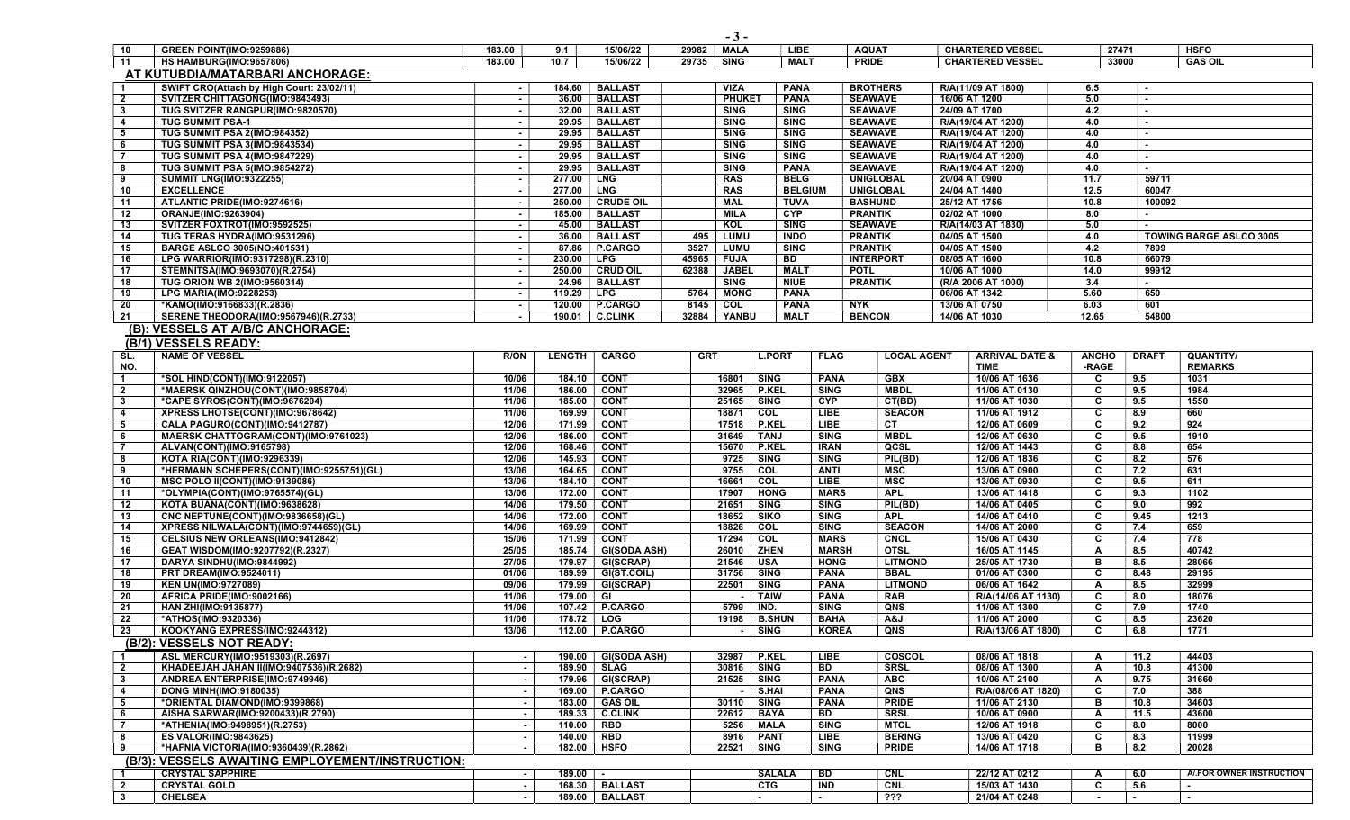|                         | <u>AT KUTUBDIA/MATARBARI ANCHORAGE:</u>                          |                  |                  |                              |            |                            |                             |                            |                     |               |                                     |              |                       |                                |
|-------------------------|------------------------------------------------------------------|------------------|------------------|------------------------------|------------|----------------------------|-----------------------------|----------------------------|---------------------|---------------|-------------------------------------|--------------|-----------------------|--------------------------------|
| $\overline{1}$          | SWIFT CRO(Attach by High Court: 23/02/11)                        | $\sim$           | 184.60           | <b>BALLAST</b>               |            | VIZA                       | <b>PANA</b>                 |                            | <b>BROTHERS</b>     |               | R/A(11/09 AT 1800)                  | 6.5          | ۰.                    |                                |
| $\overline{2}$          | SVITZER CHITTAGONG(IMO:9843493)                                  | $\sim$           | 36.00            | <b>BALLAST</b>               |            | <b>PHUKET</b>              | <b>PANA</b>                 |                            | <b>SEAWAVE</b>      | 16/06 AT 1200 |                                     | 5.0          | $\sim$                |                                |
| $\overline{\mathbf{3}}$ | TUG SVITZER RANGPUR(IMO:9820570)                                 | $\sim$           | 32.00            | <b>BALLAST</b>               |            | <b>SING</b>                | <b>SING</b>                 |                            | <b>SEAWAVE</b>      | 24/09 AT 1700 |                                     | 4.2          | $\sim$                |                                |
| $\overline{\mathbf{4}}$ | <b>TUG SUMMIT PSA-1</b>                                          | $\sim$           | 29.95            | <b>BALLAST</b>               |            | <b>SING</b>                | <b>SING</b>                 |                            | <b>SEAWAVE</b>      |               | R/A(19/04 AT 1200)                  | 4.0          | $\sim$                |                                |
| 5                       | TUG SUMMIT PSA 2(IMO:984352)                                     | $\sim$           | 29.95            | <b>BALLAST</b>               |            | <b>SING</b>                | <b>SING</b>                 |                            | <b>SEAWAVE</b>      |               | R/A(19/04 AT 1200)                  | 4.0          | $\blacksquare$        |                                |
| 6                       | TUG SUMMIT PSA 3(IMO:9843534)                                    |                  | 29.95            | <b>BALLAST</b>               |            | <b>SING</b>                | <b>SING</b>                 |                            | <b>SEAWAVE</b>      |               | R/A(19/04 AT 1200)                  | 4.0          | $\blacksquare$        |                                |
| $\overline{7}$          | <b>TUG SUMMIT PSA 4(IMO:9847229)</b>                             | $\sim$           | 29.95            | <b>BALLAST</b>               |            | <b>SING</b>                | <b>SING</b>                 |                            | <b>SEAWAVE</b>      |               | R/A(19/04 AT 1200)                  | 4.0          | $\blacksquare$        |                                |
| 8                       | <b>TUG SUMMIT PSA 5(IMO:9854272)</b>                             | $\sim$           | 29.95            | <b>BALLAST</b>               |            | <b>SING</b>                | <b>PANA</b>                 |                            | <b>SEAWAVE</b>      |               | R/A(19/04 AT 1200)                  | 4.0          | $\sim$                |                                |
| 9                       | <b>SUMMIT LNG(IMO:9322255)</b>                                   | $\sim$           | 277.00           | ∣ LNG                        |            | <b>RAS</b>                 | <b>BELG</b>                 |                            | <b>UNIGLOBAL</b>    | 20/04 AT 0900 |                                     | 11.7         | 59711                 |                                |
| 10                      | <b>EXCELLENCE</b>                                                | $\sim$           | 277.00   LNG     |                              |            | <b>RAS</b>                 | <b>BELGIUM</b>              |                            | UNIGLOBAL           | 24/04 AT 1400 |                                     | 12.5         | 60047                 |                                |
| 11                      | ATLANTIC PRIDE(IMO:9274616)                                      | $\sim$           | 250.00           | <b>CRUDE OIL</b>             |            | <b>MAL</b>                 | <b>TUVA</b>                 |                            | <b>BASHUND</b>      | 25/12 AT 1756 |                                     | 10.8         | 100092                |                                |
| 12                      | ORANJE(IMO:9263904)                                              | $\sim$           | 185.00           | <b>BALLAST</b>               |            | <b>MILA</b>                | <b>CYP</b>                  |                            | <b>PRANTIK</b>      | 02/02 AT 1000 |                                     | 8.0          |                       |                                |
| 13                      | SVITZER FOXTROT(IMO:9592525)                                     |                  | 45.00            | <b>BALLAST</b>               |            | KOL                        | <b>SING</b>                 |                            | <b>SEAWAVE</b>      |               | R/A(14/03 AT 1830)                  | 5.0          |                       |                                |
| 14                      | TUG TERAS HYDRA(IMO:9531296)                                     | $\sim$           | 36.00            | <b>BALLAST</b>               | 495        | LUMU                       | <b>INDO</b>                 |                            | <b>PRANTIK</b>      | 04/05 AT 1500 |                                     | 4.0          |                       | <b>TOWING BARGE ASLCO 3005</b> |
| 15                      | <b>BARGE ASLCO 3005(NO:401531)</b>                               | $\sim$           | 87.86            | P.CARGO                      | 3527       | <b>LUMU</b>                | <b>SING</b>                 |                            | <b>PRANTIK</b>      | 04/05 AT 1500 |                                     | 4.2          | 7899                  |                                |
| 16                      | LPG WARRIOR(IMO:9317298)(R.2310)                                 | $\sim$           | 230.00           | <b>LPG</b>                   | 45965      | <b>FUJA</b>                | BD                          |                            | <b>INTERPORT</b>    | 08/05 AT 1600 |                                     | 10.8         | 66079                 |                                |
| 17                      | STEMNITSA(IMO:9693070)(R.2754)                                   | $\sim$           |                  | 250.00   CRUD OIL            | 62388      | <b>JABEL</b>               | <b>MALT</b>                 |                            | <b>POTL</b>         |               | 10/06 AT 1000                       | 14.0         | 99912                 |                                |
| 18<br>19                | TUG ORION WB 2(IMO:9560314)<br><b>LPG MARIA(IMO:9228253)</b>     |                  | 24.96<br>119.29  | <b>BALLAST</b><br><b>LPG</b> | 5764       | <b>SING</b><br><b>MONG</b> | <b>NIUE</b><br><b>PANA</b>  |                            | <b>PRANTIK</b>      |               | (R/A 2006 AT 1000)<br>06/06 AT 1342 | 3.4<br>5.60  | $\blacksquare$<br>650 |                                |
| 20                      | *KAMO(IMO:9166833)(R.2836)                                       | $\sim$<br>$\sim$ | 120.00           | <b>P.CARGO</b>               | 8145       | COL                        | <b>PANA</b>                 |                            | <b>NYK</b>          | 13/06 AT 0750 |                                     | 6.03         | 601                   |                                |
| $\overline{21}$         | <b>SERENE THEODORA(IMO:9567946)(R.2733)</b>                      |                  | 190.01           | <b>C.CLINK</b>               | 32884      | YANBU                      | <b>MALT</b>                 |                            | <b>BENCON</b>       | 14/06 AT 1030 |                                     | 12.65        | 54800                 |                                |
|                         |                                                                  |                  |                  |                              |            |                            |                             |                            |                     |               |                                     |              |                       |                                |
|                         | (B): VESSELS AT A/B/C ANCHORAGE:                                 |                  |                  |                              |            |                            |                             |                            |                     |               |                                     |              |                       |                                |
|                         | (B/1) VESSELS READY:                                             |                  |                  |                              |            |                            |                             |                            |                     |               |                                     |              |                       |                                |
| SL.                     | <b>NAME OF VESSEL</b>                                            | R/ON             | <b>LENGTH</b>    | <b>CARGO</b>                 | <b>GRT</b> |                            | <b>L.PORT</b>               | <b>FLAG</b>                | <b>LOCAL AGENT</b>  |               | <b>ARRIVAL DATE &amp;</b>           | <b>ANCHO</b> | <b>DRAFT</b>          | QUANTITY/                      |
| NO.                     |                                                                  |                  |                  |                              |            |                            |                             |                            |                     |               | <b>TIME</b>                         | -RAGE        |                       | <b>REMARKS</b>                 |
| $\overline{1}$          | *SOL HIND(CONT)(IMO:9122057)                                     | 10/06            | 184.10           | <b>CONT</b>                  |            | 16801<br>SING              |                             | <b>PANA</b>                | <b>GBX</b>          |               | 10/06 AT 1636                       | C            | 9.5                   | 1031                           |
| $\overline{2}$          | *MAERSK QINZHOU(CONT)(IMO:9858704)                               | 11/06            |                  | 186.00 CONT                  |            | 32965   P.KEL              |                             | <b>SING</b>                | <b>MBDL</b>         |               | 11/06 AT 0130                       | C            | 9.5                   | 1984                           |
| $\mathbf{3}$            | *CAPE SYROS(CONT)(IMO:9676204)                                   | 11/06            | 185.00           | <b>CONT</b>                  |            | 25165                      | <b>SING</b>                 | <b>CYP</b>                 | CT(BD)              |               | 11/06 AT 1030                       | C            | 9.5                   | 1550                           |
| $\overline{\mathbf{4}}$ | XPRESS LHOTSE(CONT)(IMO:9678642)                                 | 11/06            | 169.99           | <b>CONT</b>                  |            | 18871<br>COL               |                             | <b>LIBE</b>                | <b>SEACON</b>       |               | 11/06 AT 1912                       | C            | 8.9                   | 660                            |
| 5                       | CALA PAGURO(CONT)(IMO:9412787)                                   | 12/06            | 171.99           | <b>CONT</b>                  |            | 17518                      | <b>P.KEL</b>                | LIBE                       | CT.                 |               | 12/06 AT 0609                       | C            | 9.2                   | 924                            |
| 6<br>-7                 | MAERSK CHATTOGRAM(CONT)(IMO:9761023)<br>ALVAN(CONT)(IMO:9165798) | 12/06<br>12/06   | 186.00<br>168.46 | <b>CONT</b><br><b>CONT</b>   |            | 31649<br>15670             | <b>TANJ</b><br><b>P.KEL</b> | <b>SING</b><br><b>IRAN</b> | <b>MBDL</b><br>QCSL |               | 12/06 AT 0630<br>12/06 AT 1443      | C<br>C       | 9.5<br>8.8            | 1910<br>654                    |
| $\overline{\mathbf{8}}$ | KOTA RIA(CONT)(IMO:9296339)                                      | 12/06            |                  | 145.93 CONT                  |            | 9725 SING                  |                             | SING                       | PIL(BD)             |               | 12/06 AT 1836                       | c            | 8.2                   | 576                            |
| 9                       | *HERMANN SCHEPERS(CONT)(IMO:9255751)(GL)                         | 13/06            | 164.65           | <b>CONT</b>                  |            | 9755<br>COL                |                             | <b>ANTI</b>                | <b>MSC</b>          |               | 13/06 AT 0900                       | C            | 7.2                   | 631                            |
| 10                      | <b>MSC POLO II(CONT)(IMO:9139086)</b>                            | 13/06            |                  | 184.10 CONT                  |            | 16661<br>COL               |                             | <b>LIBE</b>                | <b>MSC</b>          |               | 13/06 AT 0930                       | C            | 9.5                   | 611                            |
| 11                      | *OLYMPIA(CONT)(IMO:9765574)(GL)                                  | 13/06            |                  | 172.00 CONT                  |            | 17907                      | <b>HONG</b>                 | <b>MARS</b>                | <b>APL</b>          |               | 13/06 AT 1418                       | C            | 9.3                   | 1102                           |
| 12                      | KOTA BUANA(CONT)(IMO:9638628)                                    | 14/06            | 179.50           | <b>CONT</b>                  |            | 21651                      | <b>SING</b>                 | <b>SING</b>                | PIL(BD)             |               | 14/06 AT 0405                       | C            | 9.0                   | 992                            |
| 13                      | CNC NEPTUNE(CONT)(IMO:9836658)(GL)                               | 14/06            | 172.00           | <b>CONT</b>                  |            | 18652                      | <b>SIKO</b>                 | <b>SING</b>                | <b>APL</b>          |               | 14/06 AT 0410                       | C            | 9.45                  | 1213                           |
| 14                      | XPRESS NILWALA(CONT)(IMO:9744659)(GL)                            | 14/06            | 169.99           | <b>CONT</b>                  |            | 18826<br>COL               |                             | <b>SING</b>                | <b>SEACON</b>       |               | 14/06 AT 2000                       | C            | 7.4                   | 659                            |
| 15                      | <b>CELSIUS NEW ORLEANS(IMO:9412842)</b>                          | 15/06            | 171.99           | <b>CONT</b>                  |            | 17294<br>COL               |                             | <b>MARS</b>                | <b>CNCL</b>         |               | 15/06 AT 0430                       | C            | 7.4                   | 778                            |
| 16                      | GEAT WISDOM(IMO:9207792)(R.2327)                                 | 25/05            |                  | 185.74   GI(SODA ASH)        |            | 26010                      | <b>ZHEN</b>                 | <b>MARSH</b>               | <b>OTSL</b>         |               | 16/05 AT 1145                       | $\mathbf{A}$ | 8.5                   | 40742                          |
| $\overline{17}$         | DARYA SINDHU(IMO:9844992)                                        | 27/05            |                  | 179.97 GI(SCRAP)             |            | 21546<br><b>USA</b>        |                             | <b>HONG</b>                | <b>LITMOND</b>      |               | 25/05 AT 1730                       | в            | 8.5                   | 28066                          |
| 18                      | <b>PRT DREAM(IMO:9524011)</b>                                    | 01/06            |                  | 189.99   GI(ST.COIL)         |            | 31756<br><b>SING</b>       |                             | <b>PANA</b>                | <b>BBAL</b>         |               | 01/06 AT 0300                       | C            | 8.48                  | 29195                          |
| 19                      | <b>KEN UN(IMO:9727089)</b>                                       | 09/06            |                  | 179.99 GI(SCRAP)             |            | 22501                      | <b>SING</b>                 | <b>PANA</b>                | <b>LITMOND</b>      |               | 06/06 AT 1642                       | A            | 8.5                   | 32999                          |
| 20                      | AFRICA PRIDE(IMO:9002166)                                        | 11/06            | 179.00 GI        |                              |            |                            | <b>TAIW</b>                 | <b>PANA</b>                | <b>RAB</b>          |               | R/A(14/06 AT 1130)                  | C            | 8.0                   | 18076                          |
| - 21                    | HAN ZHI(IMO:9135877)                                             | 11/06            |                  | 107.42 P.CARGO               |            | IND.<br>5799               |                             | <b>SING</b>                | QNS                 |               | 11/06 AT 1300                       | C            | 7.9                   | 1740                           |
| 22                      | *ATHOS(IMO:9320336)                                              | 11/06            |                  | 178.72   LOG                 |            | 19198                      | <b>B.SHUN</b>               | <b>BAHA</b>                | A&J                 |               | 11/06 AT 2000                       | C            | 8.5                   | 23620                          |
| 23                      | KOOKYANG EXPRESS(IMO:9244312)                                    | 13/06            | 112.00           | <b>P.CARGO</b>               |            |                            | <b>SING</b>                 | <b>KOREA</b>               | QNS                 |               | R/A(13/06 AT 1800)                  | C            | 6.8                   | 1771                           |
|                         | (B/2): VESSELS NOT READY:                                        |                  |                  |                              |            |                            |                             |                            |                     |               |                                     |              |                       |                                |
| $\overline{1}$          | ASL MERCURY(IMO:9519303)(R.2697)                                 | $\sim$           |                  | 190.00 GI(SODA ASH)          |            | 32987   P.KEL              |                             | <b>LIBE</b>                | COSCOL              |               | 08/06 AT 1818                       | A            | 11.2                  | 44403                          |
| $\overline{2}$          | KHADEEJAH JAHAN II(IMO:9407536)(R.2682)                          | $\sim$           |                  | 189.90 SLAG                  |            | 30816   SING               |                             | <b>BD</b>                  | <b>SRSL</b>         |               | 08/06 AT 1300                       | A            | 10.8                  | 41300                          |
| $\overline{\mathbf{3}}$ | ANDREA ENTERPRISE(IMO:9749946)                                   | $\sim$           |                  | 179.96   GI(SCRAP)           |            | 21525   SING               |                             | <b>PANA</b>                | <b>ABC</b>          |               | 10/06 AT 2100                       | A            | 9.75                  | 31660                          |
| 4                       | <b>DONG MINH(IMO:9180035)</b>                                    |                  |                  | 169.00   P.CARGO             |            |                            | S.HAI                       | <b>PANA</b>                | QNS                 |               | R/A(08/06 AT 1820)                  | C            | 7.0                   | 388                            |
| 5                       | *ORIENTAL DIAMOND(IMO:9399868)                                   | $\sim$           |                  | 183.00 GAS OIL               |            | 30110                      | <b>SING</b>                 | <b>PANA</b>                | <b>PRIDE</b>        |               | 11/06 AT 2130                       | в            | 10.8                  | 34603                          |
| 6                       | AISHA SARWAR(IMO:9200433)(R.2790)                                | $\sim$           |                  | 189.33   C.CLINK             |            | 22612                      | BAYA                        | BD                         | <b>SRSL</b>         |               | 10/06 AT 0900                       | A            | 11.5                  | 43600                          |
| $\overline{7}$          | *ATHENIA(IMO:9498951)(R.2753)                                    | $\sim$           |                  | 110.00   RBD                 |            | 5256                       | MALA                        | <b>SING</b>                | <b>MTCL</b>         |               | 12/06 AT 1918                       | C            | 8.0                   | 8000                           |
| 8                       | <b>ES VALOR(IMO:9843625)</b>                                     | $\sim$           |                  | 140.00   RBD                 |            | 8916   PANT                |                             | <b>LIBE</b>                | <b>BERING</b>       |               | 13/06 AT 0420                       | C            | 8.3                   | 11999                          |
| $\overline{\bullet}$    | *HAFNIA VICTORIA(IMO:9360439)(R.2862)                            | $\sim$           |                  | 182.00   HSFO                |            | 22521                      | <b>SING</b>                 | <b>SING</b>                | <b>PRIDE</b>        |               | 14/06 AT 1718                       | в            | 8.2                   | 20028                          |
|                         | (B/3): VESSELS AWAITING EMPLOYEMENT/INSTRUCTION:                 |                  |                  |                              |            |                            |                             |                            |                     |               |                                     |              |                       |                                |
| $\overline{1}$          | <b>CRYSTAL SAPPHIRE</b>                                          | $\sim$           | $189.00$ -       |                              |            |                            | <b>SALALA</b>               | BD                         | <b>CNL</b>          |               | 22/12 AT 0212                       | A            | 6.0                   | A/.FOR OWNER INSTRUCTION       |
| $\overline{2}$          | <b>CRYSTAL GOLD</b>                                              | $\sim$           |                  | 168.30 BALLAST               |            |                            | <b>CTG</b>                  | <b>IND</b>                 | <b>CNL</b>          |               | 15/03 AT 1430                       | C            | 5.6                   | $\sim$                         |
| $\overline{\mathbf{3}}$ | <b>CHELSEA</b>                                                   | $\sim$           |                  | 189.00   BALLAST             |            |                            |                             | $\sim$                     | $\overline{?}$      |               | 21/04 AT 0248                       | $\sim$       | $\sim$                | $\sim$                         |

## $-3 -$ <br>29982 | MALA 10 GREEN POINT(IMO:9259886) 183.00 9.1 15/06/22 29982 MALA LIBE AQUAT CHARTERED VESSEL 27471 HSFO

11 | HS HAMBURG(IMO:9657806) | 183.00 | 10.7 | 15/06/22 | 29735 | SING | PRIDE | CHARTERED VESSEL | 33000 | GAS OIL